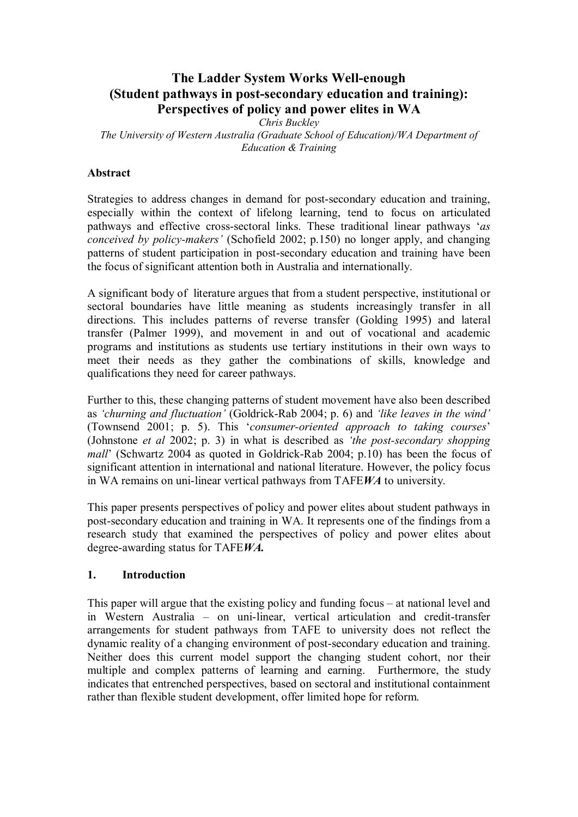# **The Ladder System Works Wellenough (Student pathways in postsecondary education and training): Perspectives of policy and power elites in WA**

*Chris Buckley*

*The University of Western Australia (Graduate School of Education)/WA Department of Education & Training*

#### **Abstract**

Strategies to address changes in demand for post-secondary education and training, especially within the context of lifelong learning, tend to focus on articulated pathways and effective cross-sectoral links. These traditional linear pathways '*as conceived by policy-makers'* (Schofield 2002; p.150) no longer apply, and changing patterns of student participation in post-secondary education and training have been the focus of significant attention both in Australia and internationally.

A significant body of literature argues that from a student perspective, institutional or sectoral boundaries have little meaning as students increasingly transfer in all directions. This includes patterns of reverse transfer (Golding 1995) and lateral transfer (Palmer 1999), and movement in and out of vocational and academic programs and institutions as students use tertiary institutions in their own ways to meet their needs as they gather the combinations of skills, knowledge and qualifications they need for career pathways.

Further to this, these changing patterns of student movement have also been described as 'churning and *fluctuation'* (Goldrick-Rab 2004; p. 6) and 'like leaves in the wind' (Townsend 2001; p. 5). This '*consumer-oriented approach to taking courses*' (Johnstone *et al* 2002; p. 3) in what is described as *'the post-secondary shopping mall*' (Schwartz 2004 as quoted in Goldrick-Rab 2004; p.10) has been the focus of significant attention in international and national literature. However, the policy focus in WA remains on uni-linear vertical pathways from TAFEWA to university.

This paper presents perspectives of policy and power elites about student pathways in postsecondary education and training in WA. It represents one of the findings from a research study that examined the perspectives of policy and power elites about degree-awarding status for TAFEWA.

#### **1. Introduction**

This paper will argue that the existing policy and funding focus – at national level and in Western Australia – on uni-linear, vertical articulation and credit-transfer arrangements for student pathways from TAFE to university does not reflect the dynamic reality of a changing environment of post-secondary education and training. Neither does this current model support the changing student cohort, nor their multiple and complex patterns of learning and earning. Furthermore, the study indicates that entrenched perspectives, based on sectoral and institutional containment rather than flexible student development, offer limited hope for reform.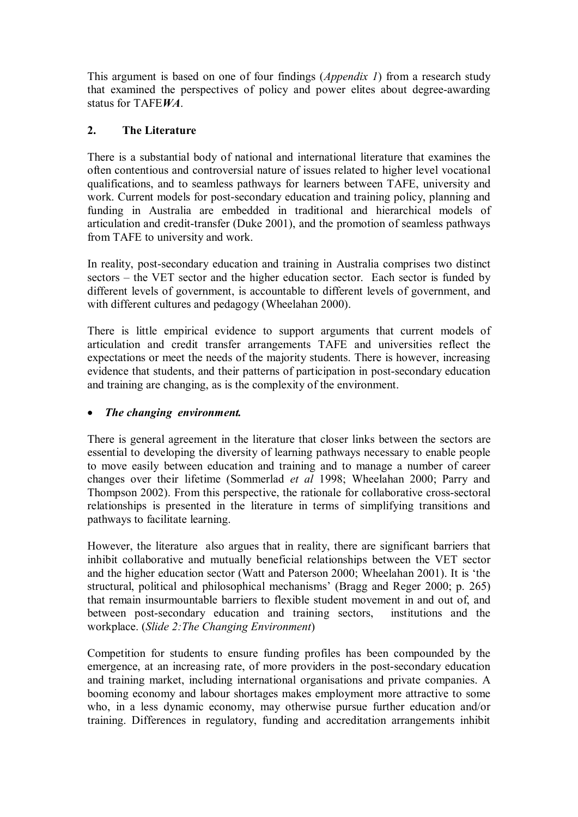This argument is based on one of four findings (*Appendix 1*) from a research study that examined the perspectives of policy and power elites about degree-awarding status for TAFE*WA*.

## **2. The Literature**

There is a substantial body of national and international literature that examines the often contentious and controversial nature of issues related to higher level vocational qualifications, and to seamless pathways for learners between TAFE, university and work. Current models for post-secondary education and training policy, planning and funding in Australia are embedded in traditional and hierarchical models of articulation and credit-transfer (Duke 2001), and the promotion of seamless pathways from TAFE to university and work.

In reality, post-secondary education and training in Australia comprises two distinct sectors – the VET sector and the higher education sector. Each sector is funded by different levels of government, is accountable to different levels of government, and with different cultures and pedagogy (Wheelahan 2000).

There is little empirical evidence to support arguments that current models of articulation and credit transfer arrangements TAFE and universities reflect the expectations or meet the needs of the majority students. There is however, increasing evidence that students, and their patterns of participation in post-secondary education and training are changing, as is the complexity of the environment.

#### · *The changing environment.*

There is general agreement in the literature that closer links between the sectors are essential to developing the diversity of learning pathways necessary to enable people to move easily between education and training and to manage a number of career changes over their lifetime (Sommerlad *et al* 1998; Wheelahan 2000; Parry and Thompson 2002). From this perspective, the rationale for collaborative cross-sectoral relationships is presented in the literature in terms of simplifying transitions and pathways to facilitate learning.

However, the literature also argues that in reality, there are significant barriers that inhibit collaborative and mutually beneficial relationships between the VET sector and the higher education sector (Watt and Paterson 2000; Wheelahan 2001). It is 'the structural, political and philosophical mechanisms' (Bragg and Reger 2000; p. 265) that remain insurmountable barriers to flexible student movement in and out of, and between post-secondary education and training sectors, institutions and the workplace. (*Slide 2:The Changing Environment*)

Competition for students to ensure funding profiles has been compounded by the emergence, at an increasing rate, of more providers in the post-secondary education and training market, including international organisations and private companies. A booming economy and labour shortages makes employment more attractive to some who, in a less dynamic economy, may otherwise pursue further education and/or training. Differences in regulatory, funding and accreditation arrangements inhibit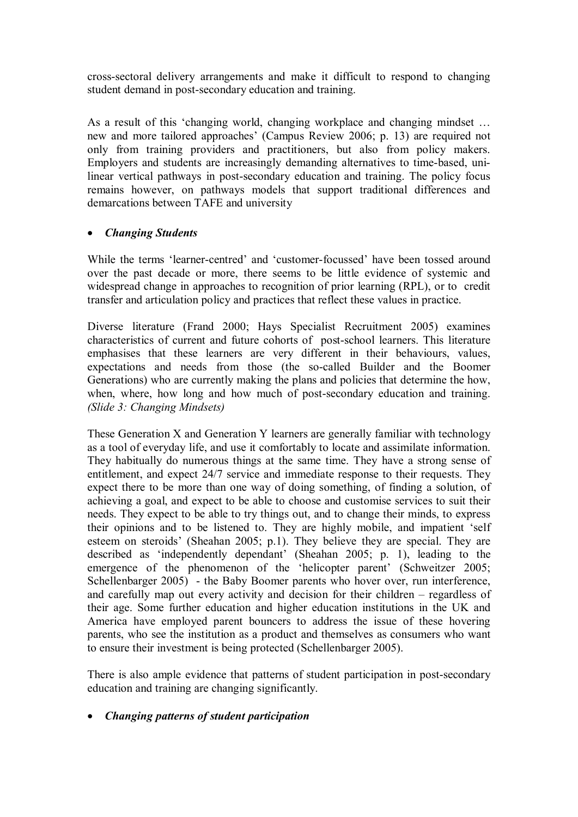crosssectoral delivery arrangements and make it difficult to respond to changing student demand in post-secondary education and training.

As a result of this 'changing world, changing workplace and changing mindset … new and more tailored approaches' (Campus Review 2006; p. 13) are required not only from training providers and practitioners, but also from policy makers. Employers and students are increasingly demanding alternatives to time-based, unilinear vertical pathways in post-secondary education and training. The policy focus remains however, on pathways models that support traditional differences and demarcations between TAFE and university

## · *Changing Students*

While the terms 'learner-centred' and 'customer-focussed' have been tossed around over the past decade or more, there seems to be little evidence of systemic and widespread change in approaches to recognition of prior learning (RPL), or to credit transfer and articulation policy and practices that reflect these values in practice.

Diverse literature (Frand 2000; Hays Specialist Recruitment 2005) examines characteristics of current and future cohorts of post-school learners. This literature emphasises that these learners are very different in their behaviours, values, expectations and needs from those (the so-called Builder and the Boomer Generations) who are currently making the plans and policies that determine the how, when, where, how long and how much of post-secondary education and training. *(Slide 3: Changing Mindsets)*

These Generation X and Generation Y learners are generally familiar with technology as a tool of everyday life, and use it comfortably to locate and assimilate information. They habitually do numerous things at the same time. They have a strong sense of entitlement, and expect 24/7 service and immediate response to their requests. They expect there to be more than one way of doing something, of finding a solution, of achieving a goal, and expect to be able to choose and customise services to suit their needs. They expect to be able to try things out, and to change their minds, to express their opinions and to be listened to. They are highly mobile, and impatient 'self esteem on steroids' (Sheahan 2005; p.1). They believe they are special. They are described as 'independently dependant' (Sheahan 2005; p. 1), leading to the emergence of the phenomenon of the 'helicopter parent' (Schweitzer 2005; Schellenbarger 2005) - the Baby Boomer parents who hover over, run interference, and carefully map out every activity and decision for their children – regardless of their age. Some further education and higher education institutions in the UK and America have employed parent bouncers to address the issue of these hovering parents, who see the institution as a product and themselves as consumers who want to ensure their investment is being protected (Schellenbarger 2005).

There is also ample evidence that patterns of student participation in post-secondary education and training are changing significantly.

#### · *Changing patterns of student participation*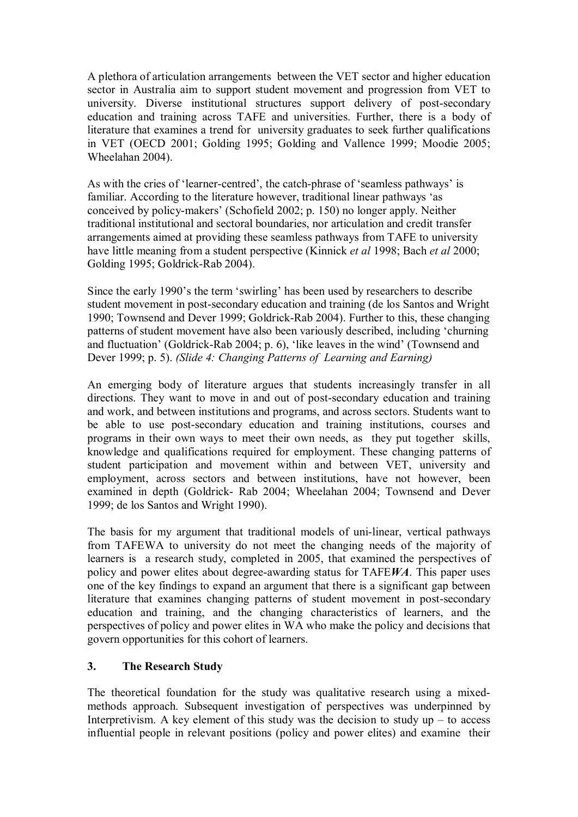A plethora of articulation arrangements between the VET sector and higher education sector in Australia aim to support student movement and progression from VET to university. Diverse institutional structures support delivery of post-secondary education and training across TAFE and universities. Further, there is a body of literature that examines a trend for university graduates to seek further qualifications in VET (OECD 2001; Golding 1995; Golding and Vallence 1999; Moodie 2005; Wheelahan 2004).

As with the cries of 'learner-centred', the catch-phrase of 'seamless pathways' is familiar. According to the literature however, traditional linear pathways 'as conceived by policy-makers' (Schofield 2002; p. 150) no longer apply. Neither traditional institutional and sectoral boundaries, nor articulation and credit transfer arrangements aimed at providing these seamless pathways from TAFE to university have little meaning from a student perspective (Kinnick *et al* 1998; Bach *et al* 2000; Golding 1995; Goldrick-Rab 2004).

Since the early 1990's the term 'swirling' has been used by researchers to describe student movement in post-secondary education and training (de los Santos and Wright 1990; Townsend and Dever 1999; Goldrick-Rab 2004). Further to this, these changing patterns of student movement have also been variously described, including 'churning and fluctuation' (Goldrick-Rab 2004; p. 6), 'like leaves in the wind' (Townsend and Dever 1999; p. 5). *(Slide 4: Changing Patterns of Learning and Earning)*

An emerging body of literature argues that students increasingly transfer in all directions. They want to move in and out of post-secondary education and training and work, and between institutions and programs, and across sectors. Students want to be able to use post-secondary education and training institutions, courses and programs in their own ways to meet their own needs, as they put together skills, knowledge and qualifications required for employment. These changing patterns of student participation and movement within and between VET, university and employment, across sectors and between institutions, have not however, been examined in depth (Goldrick- Rab 2004; Wheelahan 2004; Townsend and Dever 1999; de los Santos and Wright 1990).

The basis for my argument that traditional models of uni-linear, vertical pathways from TAFEWA to university do not meet the changing needs of the majority of learners is a research study, completed in 2005, that examined the perspectives of policy and power elites about degree-awarding status for TAFEWA. This paper uses one of the key findings to expand an argument that there is a significant gap between literature that examines changing patterns of student movement in post-secondary education and training, and the changing characteristics of learners, and the perspectives of policy and power elites in WA who make the policy and decisions that govern opportunities for this cohort of learners.

# **3. The Research Study**

The theoretical foundation for the study was qualitative research using a mixedmethods approach. Subsequent investigation of perspectives was underpinned by Interpretivism. A key element of this study was the decision to study  $up - to$  access influential people in relevant positions (policy and power elites) and examine their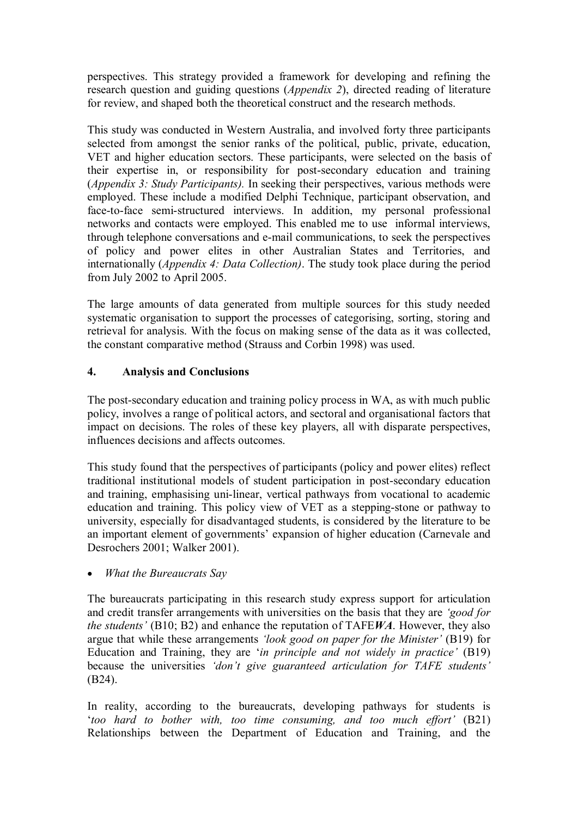perspectives. This strategy provided a framework for developing and refining the research question and guiding questions (*Appendix 2*), directed reading of literature for review, and shaped both the theoretical construct and the research methods.

This study was conducted in Western Australia, and involved forty three participants selected from amongst the senior ranks of the political, public, private, education, VET and higher education sectors. These participants, were selected on the basis of their expertise in, or responsibility for post-secondary education and training (*Appendix 3: Study Participants).* In seeking their perspectives, various methods were employed. These include a modified Delphi Technique, participant observation, and face-to-face semi-structured interviews. In addition, my personal professional networks and contacts were employed. This enabled me to use informal interviews, through telephone conversations and e-mail communications, to seek the perspectives of policy and power elites in other Australian States and Territories, and internationally (*Appendix 4: Data Collection)*. The study took place during the period from July 2002 to April 2005.

The large amounts of data generated from multiple sources for this study needed systematic organisation to support the processes of categorising, sorting, storing and retrieval for analysis. With the focus on making sense of the data as it was collected, the constant comparative method (Strauss and Corbin 1998) was used.

## **4. Analysis and Conclusions**

The post-secondary education and training policy process in WA, as with much public policy, involves a range of political actors, and sectoral and organisational factors that impact on decisions. The roles of these key players, all with disparate perspectives, influences decisions and affects outcomes.

This study found that the perspectives of participants (policy and power elites) reflect traditional institutional models of student participation in post-secondary education and training, emphasising uni-linear, vertical pathways from vocational to academic education and training. This policy view of VET as a stepping-stone or pathway to university, especially for disadvantaged students, is considered by the literature to be an important element of governments' expansion of higher education (Carnevale and Desrochers 2001; Walker 2001).

· *What the Bureaucrats Say*

The bureaucrats participating in this research study express support for articulation and credit transfer arrangements with universities on the basis that they are *'good for the students'* (B10; B2) and enhance the reputation of TAFE*WA*. However, they also argue that while these arrangements *'look good on paper for the Minister'* (B19) for Education and Training, they are '*in principle and not widely in practice'* (B19) because the universities *'don't give guaranteed articulation for TAFE students'* (B24).

In reality, according to the bureaucrats, developing pathways for students is '*too hard to bother with, too time consuming, and too much effort'* (B21) Relationships between the Department of Education and Training, and the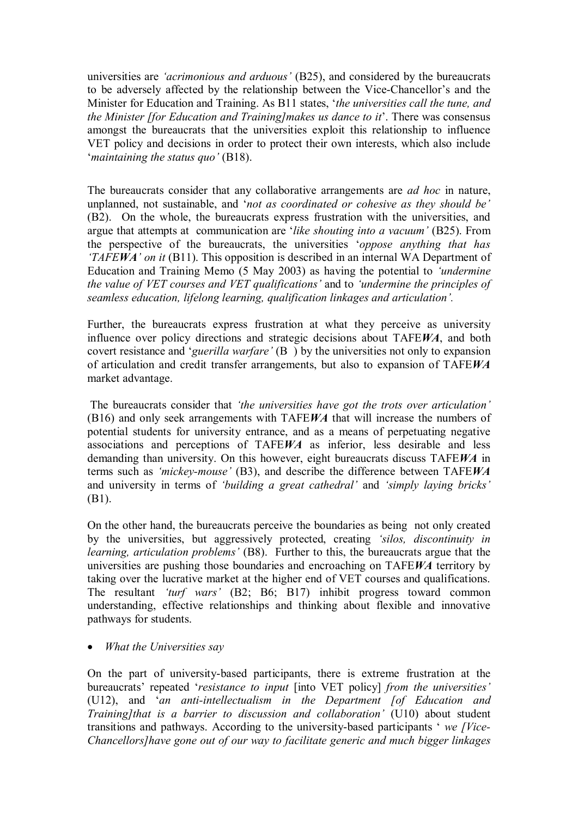universities are *'acrimonious and arduous'* (B25), and considered by the bureaucrats to be adversely affected by the relationship between the ViceChancellor's and the Minister for Education and Training. As B11 states, '*the universities call the tune, and the Minister [for Education and Training]makes us dance to it*'. There was consensus amongst the bureaucrats that the universities exploit this relationship to influence VET policy and decisions in order to protect their own interests, which also include '*maintaining the status quo'* (B18).

The bureaucrats consider that any collaborative arrangements are *ad hoc* in nature, unplanned, not sustainable, and '*not as coordinated or cohesive as they should be'* (B2). On the whole, the bureaucrats express frustration with the universities, and argue that attempts at communication are '*like shouting into a vacuum'* (B25). From the perspective of the bureaucrats, the universities '*oppose anything that has 'TAFEWA' on it* (B11). This opposition is described in an internal WA Department of Education and Training Memo (5 May 2003) as having the potential to *'undermine the value of VET courses and VET qualifications'* and to *'undermine the principles of seamless education, lifelong learning, qualification linkages and articulation'.*

Further, the bureaucrats express frustration at what they perceive as university influence over policy directions and strategic decisions about TAFE*WA*, and both covert resistance and '*guerilla warfare'* (B ) by the universities not only to expansion of articulation and credit transfer arrangements, but also to expansion of TAFE*WA* market advantage.

The bureaucrats consider that *'the universities have got the trots over articulation'* (B16) and only seek arrangements with TAFE*WA* that will increase the numbers of potential students for university entrance, and as a means of perpetuating negative associations and perceptions of TAFE*WA* as inferior, less desirable and less demanding than university. On this however, eight bureaucrats discuss TAFE*WA* in terms such as *'mickeymouse'* (B3), and describe the difference between TAFE*WA* and university in terms of *'building a great cathedral'* and *'simply laying bricks'* (B1).

On the other hand, the bureaucrats perceive the boundaries as being not only created by the universities, but aggressively protected, creating *'silos, discontinuity in learning, articulation problems'* (B8). Further to this, the bureaucrats argue that the universities are pushing those boundaries and encroaching on TAFE*WA* territory by taking over the lucrative market at the higher end of VET courses and qualifications. The resultant *'turf wars'* (B2; B6; B17) inhibit progress toward common understanding, effective relationships and thinking about flexible and innovative pathways for students.

#### · *What the Universities say*

On the part of university-based participants, there is extreme frustration at the bureaucrats' repeated '*resistance to input* [into VET policy] *from the universities'* (U12), and '*an antiintellectualism in the Department [of Education and Training]that is a barrier to discussion and collaboration'* (U10) about student transitions and pathways. According to the university-based participants ' *we [Vice-Chancellors]have gone out of our way to facilitate generic and much bigger linkages*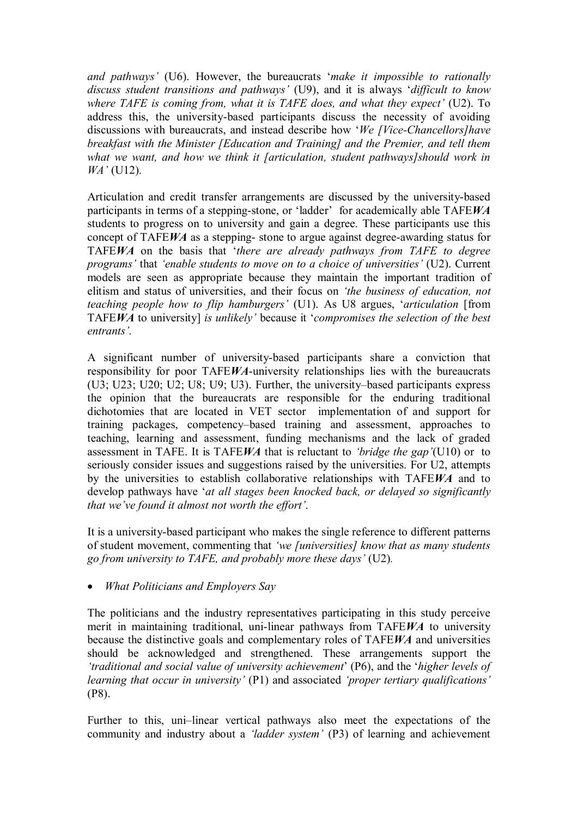*and pathways'* (U6). However, the bureaucrats '*make it impossible to rationally discuss student transitions and pathways'* (U9), and it is always '*difficult to know where TAFE is coming from, what it is TAFE does, and what they expect'* (U2). To address this, the university-based participants discuss the necessity of avoiding discussions with bureaucrats, and instead describe how '*We [ViceChancellors]have breakfast with the Minister [Education and Training] and the Premier, and tell them what we want, and how we think it [articulation, student pathways]should work in WA'* (U12).

Articulation and credit transfer arrangements are discussed by the universitybased participants in terms of a stepping-stone, or 'ladder' for academically able TAFEWA students to progress on to university and gain a degree. These participants use this concept of TAFEWA as a stepping-stone to argue against degree-awarding status for TAFE*WA* on the basis that '*there are already pathways from TAFE to degree programs'* that *'enable students to move on to a choice of universities'* (U2). Current models are seen as appropriate because they maintain the important tradition of elitism and status of universities, and their focus on *'the business of education, not teaching people how to flip hamburgers'* (U1). As U8 argues, '*articulation* [from TAFE*WA* to university] *is unlikely'* because it '*compromises the selection of the best entrants'.*

A significant number of university-based participants share a conviction that responsibility for poor TAFEWA-university relationships lies with the bureaucrats (U3; U23; U20; U2; U8; U9; U3). Further, the university–based participants express the opinion that the bureaucrats are responsible for the enduring traditional dichotomies that are located in VET sector implementation of and support for training packages, competency–based training and assessment, approaches to teaching, learning and assessment, funding mechanisms and the lack of graded assessment in TAFE. It is TAFE*WA* that is reluctant to *'bridge the gap'*(U10) or to seriously consider issues and suggestions raised by the universities. For U2, attempts by the universities to establish collaborative relationships with TAFE*WA* and to develop pathways have '*at all stages been knocked back, or delayed so significantly that we've found it almost not worth the effort'*.

It is a university-based participant who makes the single reference to different patterns of student movement, commenting that *'we [universities] know that as many students go from university to TAFE, and probably more these days'* (U2)*.*

· *What Politicians and Employers Say*

The politicians and the industry representatives participating in this study perceive merit in maintaining traditional, uni-linear pathways from TAFEWA to university because the distinctive goals and complementary roles of TAFE*WA* and universities should be acknowledged and strengthened. These arrangements support the *'traditional and social value of university achievement*' (P6), and the '*higher levels of learning that occur in university'* (P1) and associated *'proper tertiary qualifications'* (P8).

Further to this, uni–linear vertical pathways also meet the expectations of the community and industry about a *'ladder system'* (P3) of learning and achievement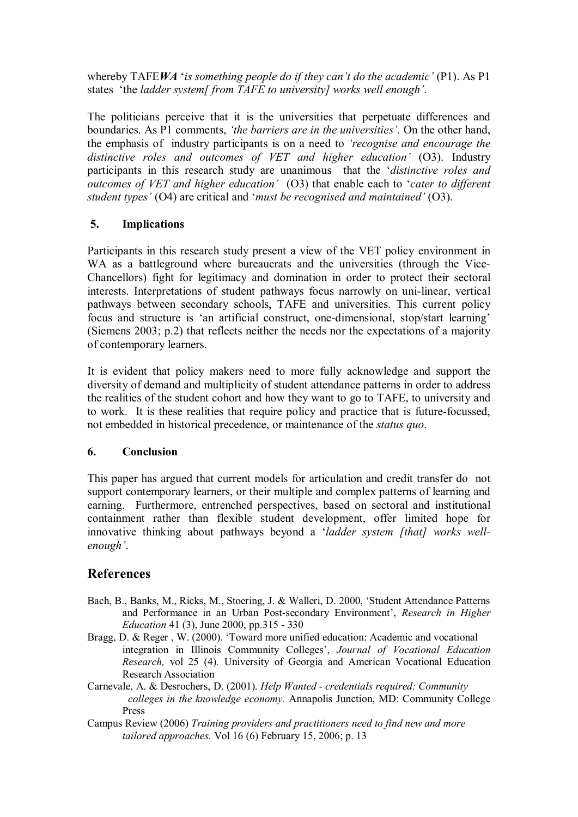whereby TAFE*WA* '*is something people do if they can't do the academic'* (P1). As P1 states 'the *ladder system[ from TAFE to university] works well enough'*.

The politicians perceive that it is the universities that perpetuate differences and boundaries. As P1 comments, *'the barriers are in the universities'.* On the other hand, the emphasis of industry participants is on a need to *'recognise and encourage the distinctive roles and outcomes of VET and higher education'* (O3). Industry participants in this research study are unanimous that the '*distinctive roles and outcomes of VET and higher education'* (O3) that enable each to '*cater to different student types'* (O4) are critical and '*must be recognised and maintained'* (O3).

# **5. Implications**

Participants in this research study present a view of the VET policy environment in WA as a battleground where bureaucrats and the universities (through the Vice-Chancellors) fight for legitimacy and domination in order to protect their sectoral interests. Interpretations of student pathways focus narrowly on uni-linear, vertical pathways between secondary schools, TAFE and universities. This current policy focus and structure is 'an artificial construct, one-dimensional, stop/start learning' (Siemens 2003; p.2) that reflects neither the needs nor the expectations of a majority of contemporary learners.

It is evident that policy makers need to more fully acknowledge and support the diversity of demand and multiplicity of student attendance patterns in order to address the realities of the student cohort and how they want to go to TAFE, to university and to work. It is these realities that require policy and practice that is future-focussed, not embedded in historical precedence, or maintenance of the *status quo*.

#### **6. Conclusion**

This paper has argued that current models for articulation and credit transfer do not support contemporary learners, or their multiple and complex patterns of learning and earning. Furthermore, entrenched perspectives, based on sectoral and institutional containment rather than flexible student development, offer limited hope for innovative thinking about pathways beyond a '*ladder system [that] works wellenough'*.

# **References**

- Bach, B., Banks, M., Ricks, M., Stoering, J. & Walleri, D. 2000, 'Student Attendance Patterns and Performance in an Urban Post-secondary Environment', *Research in Higher Education* 41 (3), June 2000, pp.315 - 330
- Bragg, D. & Reger , W. (2000). 'Toward more unified education: Academic and vocational integration in Illinois Community Colleges', *Journal of Vocational Education Research,* vol 25 (4)*.* University of Georgia and American Vocational Education Research Association
- Carnevale, A. & Desrochers, D. (2001). *Help Wanted credentials required: Community colleges in the knowledge economy.* Annapolis Junction, MD: Community College Press
- Campus Review (2006) *Training providers and practitioners need to find new and more tailored approaches.* Vol 16 (6) February 15, 2006; p. 13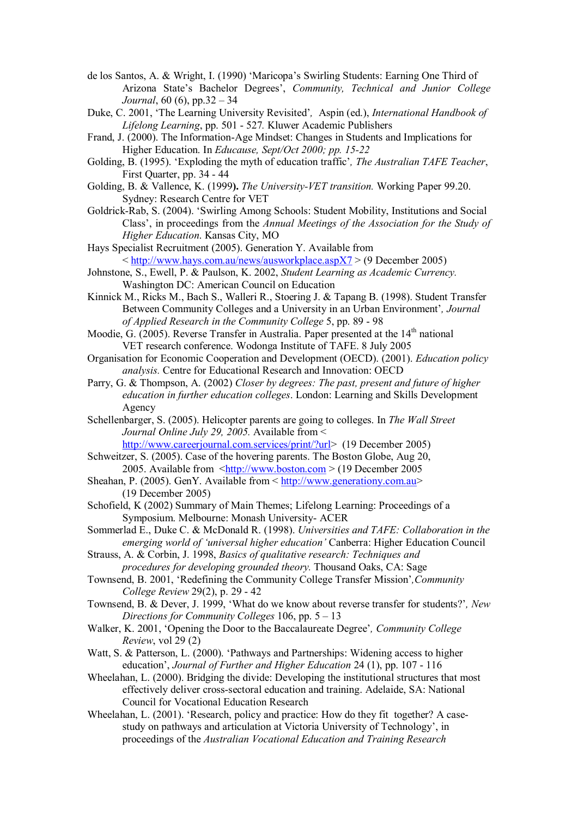- de los Santos, A. & Wright, I. (1990) 'Maricopa's Swirling Students: Earning One Third of Arizona State's Bachelor Degrees', *Community, Technical and Junior College Journal*, 60 (6), pp.32 – 34
- Duke, C. 2001, 'The Learning University Revisited'*,* Aspin (ed.), *International Handbook of Lifelong Learning*, pp. 501 527*.* Kluwer Academic Publishers
- Frand, J. (2000). The Information-Age Mindset: Changes in Students and Implications for Higher Education. In *Educause, Sept/Oct 2000; pp. 1522*
- Golding, B. (1995). 'Exploding the myth of education traffic'*, The Australian TAFE Teacher*, First Quarter, pp. 34 - 44
- Golding, B. & Vallence, K. (1999). *The University-VET transition*. Working Paper 99.20. Sydney: Research Centre for VET
- Goldrick-Rab, S. (2004). 'Swirling Among Schools: Student Mobility, Institutions and Social Class', in proceedings from the *Annual Meetings of the Association for the Study of Higher Education*. Kansas City, MO
- Hays Specialist Recruitment (2005). Generation Y. Available from  $\langle \frac{http://www.hays.com.au/news/auxworkplace-aspX7}{0}$  December 2005)
- Johnstone, S., Ewell, P. & Paulson, K. 2002, *Student Learning as Academic Currency.* Washington DC: American Council on Education
- Kinnick M., Ricks M., Bach S., Walleri R., Stoering J. & Tapang B. (1998). Student Transfer Between Community Colleges and a University in an Urban Environment'*, Journal of Applied Research in the Community College* 5, pp. 89 - 98
- Moodie, G. (2005). Reverse Transfer in Australia. Paper presented at the  $14<sup>th</sup>$  national VET research conference. Wodonga Institute of TAFE. 8 July 2005
- Organisation for Economic Cooperation and Development (OECD). (2001). *Education policy analysis.* Centre for Educational Research and Innovation: OECD
- Parry, G. & Thompson, A. (2002) *Closer by degrees: The past, present and future of higher education in further education colleges*. London: Learning and Skills Development Agency
- Schellenbarger, S. (2005). Helicopter parents are going to colleges. In *The Wall Street Journal Online July 29, 2005.* Available from <
- [http://www.careerjournal.com.services/print/?url>](http://www.careerjournal.com.services/print/?url) (19 December 2005) Schweitzer, S. (2005). Case of the hovering parents. The Boston Globe, Aug 20,
- 2005. Available from  $\frac{\text{http://www.boston.com}}{2005}$  (19 December 2005) Sheahan, P. (2005). GenY. Available from < [http://www.generationy.com.au](http://www.generationy.com.au/)>
	- (19 December 2005)
- Schofield, K (2002) Summary of Main Themes; Lifelong Learning: Proceedings of a Symposium. Melbourne: Monash University- ACER
- Sommerlad E., Duke C. & McDonald R. (1998). *Universities and TAFE: Collaboration in the emerging world of 'universal higher education'* Canberra: Higher Education Council
- Strauss, A. & Corbin, J. 1998, *Basics of qualitative research: Techniques and procedures for developing grounded theory.* Thousand Oaks, CA: Sage
- Townsend, B. 2001, 'Redefining the Community College Transfer Mission'*,Community College Review* 29(2), p. 29 - 42
- Townsend, B. & Dever, J. 1999, 'What do we know about reverse transfer for students?'*, New Directions for Community Colleges* 106, pp. 5 – 13
- Walker, K. 2001, 'Opening the Door to the Baccalaureate Degree'*, Community College Review*, vol 29 (2)
- Watt, S. & Patterson, L. (2000). 'Pathways and Partnerships: Widening access to higher education', *Journal of Further and Higher Education* 24 (1), pp. 107 116
- Wheelahan, L. (2000). Bridging the divide: Developing the institutional structures that most effectively deliver cross-sectoral education and training. Adelaide, SA: National Council for Vocational Education Research
- Wheelahan, L. (2001). 'Research, policy and practice: How do they fit together? A case study on pathways and articulation at Victoria University of Technology', in proceedings of the *Australian Vocational Education and Training Research*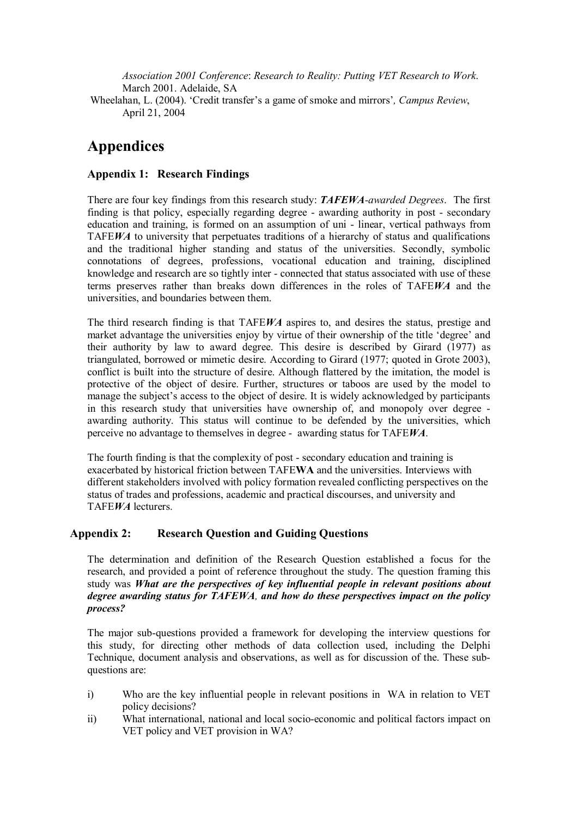*Association 2001 Conference*: *Research to Reality: Putting VET Research to Work*. March 2001. Adelaide, SA

Wheelahan, L. (2004). 'Credit transfer's a game of smoke and mirrors'*, Campus Review*, April 21, 2004

# **Appendices**

#### **Appendix 1: Research Findings**

There are four key findings from this research study: *TAFEWAawarded Degrees*. The first finding is that policy, especially regarding degree - awarding authority in post - secondary education and training, is formed on an assumption of uni - linear, vertical pathways from TAFE*WA* to university that perpetuates traditions of a hierarchy of status and qualifications and the traditional higher standing and status of the universities. Secondly, symbolic connotations of degrees, professions, vocational education and training, disciplined knowledge and research are so tightly inter connected that status associated with use of these terms preserves rather than breaks down differences in the roles of TAFE*WA* and the universities, and boundaries between them.

The third research finding is that TAFE*WA* aspires to, and desires the status, prestige and market advantage the universities enjoy by virtue of their ownership of the title 'degree' and their authority by law to award degree. This desire is described by Girard (1977) as triangulated, borrowed or mimetic desire. According to Girard (1977; quoted in Grote 2003), conflict is built into the structure of desire. Although flattered by the imitation, the model is protective of the object of desire. Further, structures or taboos are used by the model to manage the subject's access to the object of desire. It is widely acknowledged by participants in this research study that universities have ownership of, and monopoly over degree awarding authority. This status will continue to be defended by the universities, which perceive no advantage to themselves in degree awarding status for TAFE*WA*.

The fourth finding is that the complexity of post - secondary education and training is exacerbated by historical friction between TAFE**WA** and the universities. Interviews with different stakeholders involved with policy formation revealed conflicting perspectives on the status of trades and professions, academic and practical discourses, and university and TAFE*WA* lecturers.

#### **Appendix 2: Research Question and Guiding Questions**

The determination and definition of the Research Question established a focus for the research, and provided a point of reference throughout the study. The question framing this study was *What are the perspectives of key influential people in relevant positions about degree awarding status for TAFEWA, and how do these perspectives impact on the policy process?*

The major sub-questions provided a framework for developing the interview questions for this study, for directing other methods of data collection used, including the Delphi Technique, document analysis and observations, as well as for discussion of the. These sub questions are:

- i) Who are the key influential people in relevant positions in WA in relation to VET policy decisions?
- ii) What international, national and local socio-economic and political factors impact on VET policy and VET provision in WA?